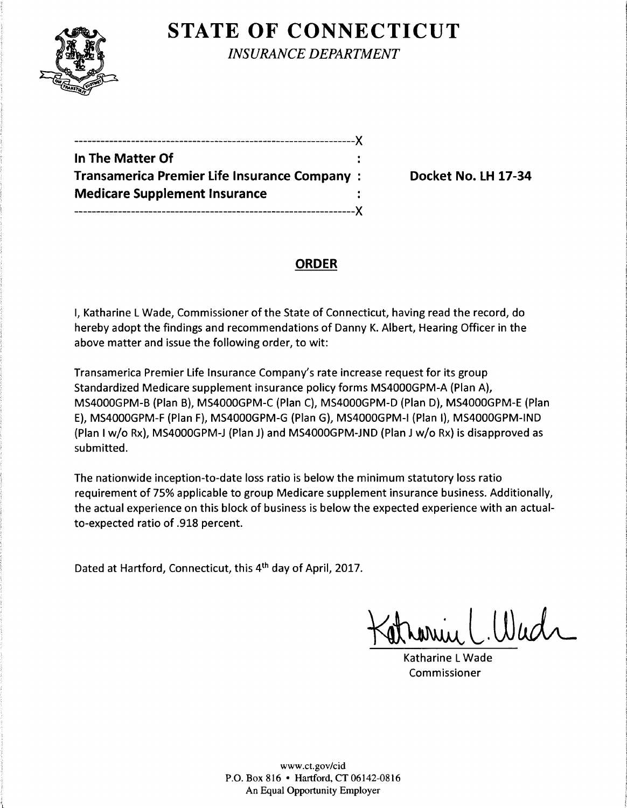

**STATE OF CONNECTICUT** 

*INSURANCE DEPARTMENT* 

----------------------------------------------------------------)( **In The Matter Of Transamerica Premier Life Insurance Company** : **Docket No. LH 17-34 Medicare Supplement Insurance**  ----------------------------------------------------------------)(

# **ORDER**

I, Katharine L Wade, Commissioner of the State of Connecticut, having read the record, do hereby adopt the findings and recommendations of Danny K. Albert, Hearing Officer in the above matter and issue the following order, to wit:

Transamerica Premier Life Insurance Company's rate increase request for its group Standardized Medicare supplement insurance policy forms MS4000GPM-A (Plan A), MS4000GPM-B (Plan B), MS4000GPM-C (Plan C), MS4000GPM-D (Plan D), MS4000GPM-E (Plan E), MS4000GPM-F (Plan F), MS4000GPM-G (Plan G), MS4000GPM-I (Plan 1), MS4000GPM-IND (Plan I w/o Rx), MS4000GPM-J (Plan J) and MS4000GPM-JND (Plan J w/o Rx) is disapproved as submitted.

The nationwide inception-to-date loss ratio is below the minimum statutory loss ratio requirement of 75% applicable to group Medicare supplement insurance business. Additionally, the actual experience on this block of business is below the expected experience with an actualto-expected ratio of .918 percent.

Dated at Hartford, Connecticut, this 4th day of April, 2017.

arin C. Wadr

Katharine L Wade Commissioner

www.ct.gov/cid P.O. Box 816 • Hartford, CT 06142-0816 An Equal Opportunity Employer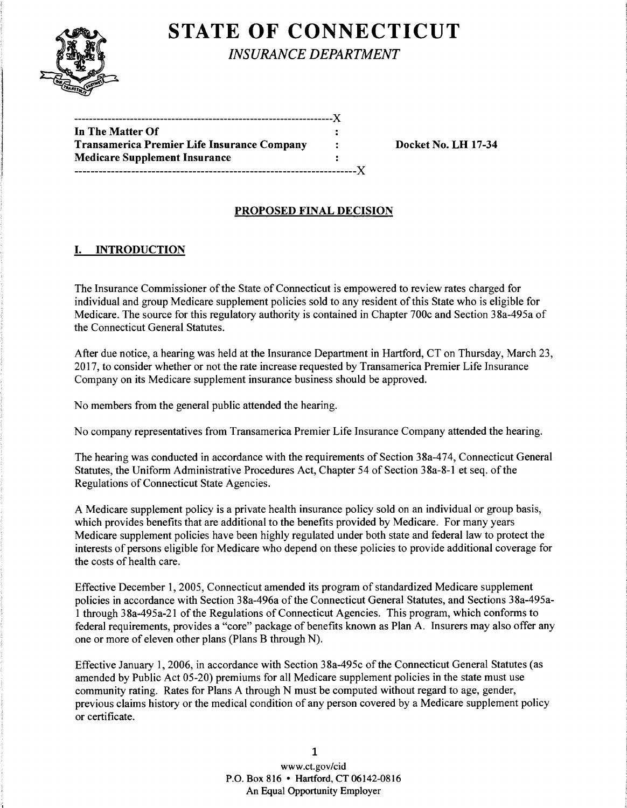# **STATE OF CONNECTICUT**



*INSURANCE DEPARTMENT* 

| In The Matter Of                            |              |
|---------------------------------------------|--------------|
| Transamerica Premier Life Insurance Company | $\mathbf{r}$ |
| <b>Medicare Supplement Insurance</b>        |              |
|                                             |              |

Docket No. LH 17-34

## PROPOSED FINAL DECISION

### I. INTRODUCTION

The Insurance Commissioner of the State of Connecticut is empowered to review rates charged for individual and group Medicare supplement policies sold to any resident of this State who is eligible for Medicare. The source for this regulatory authority is contained in Chapter 700c and Section 38a-495a of the Connecticut General Statutes.

After due notice, a hearing was held at the Insurance Department in Hartford, CT on Thursday, March 23, 2017, to consider whether or not the rate increase requested by Transamerica Premier Life Insurance Company on its Medicare supplement insurance business should be approved.

No members from the general public attended the hearing.

No company representatives from Transamerica Premier Life Insurance Company attended the hearing.

The hearing was conducted in accordance with the requirements of Section 38a-474, Connecticut General Statutes, the Uniform Administrative Procedures Act, Chapter 54 of Section 38a-8-1 et seq. of the Regulations of Connecticut State Agencies.

A Medicare supplement policy is a private health insurance policy sold on an individual or group basis, which provides benefits that are additional to the benefits provided by Medicare. For many years Medicare supplement policies have been highly regulated under both state and federal law to protect the interests of persons eligible for Medicare who depend on these policies to provide additional coverage for the costs of health care.

Effective December 1, 2005, Connecticut amended its program of standardized Medicare supplement policies in accordance with Section 38a-496a of the Connecticut General Statutes, and Sections 38a-495al through 38a-495a-21 of the Regulations of Connecticut Agencies. This program, which conforms to federal requirements, provides a "core" package of benefits known as Plan A. Insurers may also offer any one or more of eleven other plans (Plans B through N).

Effective January 1, 2006, in accordance with Section 38a-495c of the Connecticut General Statutes (as amended by Public Act 05-20) premiums for all Medicare supplement policies in the state must use community rating. Rates for Plans A through N must be computed without regard to age, gender, previous claims history or the medical condition of any person covered by a Medicare supplement policy or certificate.

> 1 www.ct.gov/cid P.O. Box 816 • Hartford, CT 06142-0816 An Equal Opportunity Employer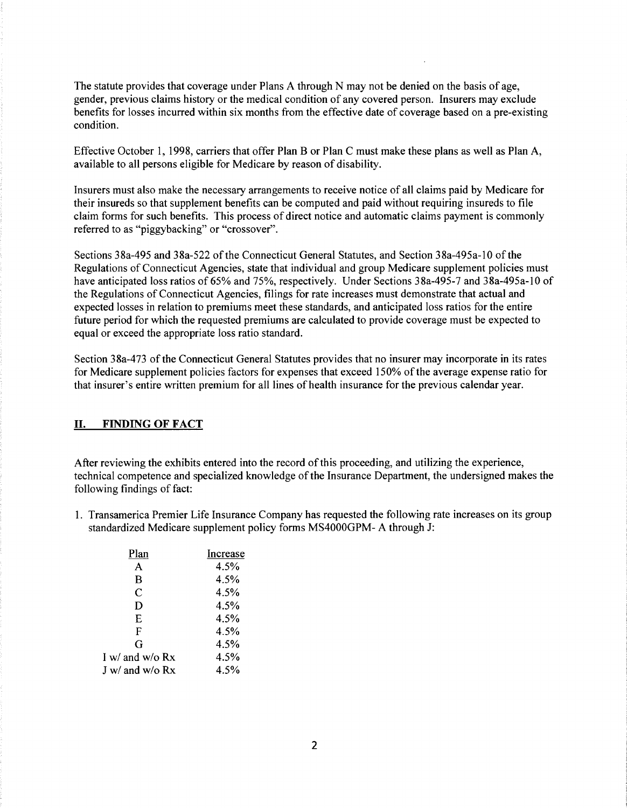The statute provides that coverage under Plans A through N may not be denied on the basis of age, gender, previous claims history or the medical condition of any covered person. Insurers may exclude benefits for losses incurred within six months from the effective date of coverage based on a pre-existing condition.

Effective October 1, 1998, carriers that offer Plan B or Plan C must make these plans as well as Plan A, available to all persons eligible for Medicare by reason of disability.

Insurers must also make the necessary arrangements to receive notice of all claims paid by Medicare for their insureds so that supplement benefits can be computed and paid without requiring insureds to file claim forms for such benefits. This process of direct notice and automatic claims payment is commonly referred to as "piggybacking" or "crossover".

Sections 38a-495 and 38a-522 ofthe Connecticut General Statutes, and Section 38a-495a-10 of the Regulations of Connecticut Agencies, state that individual and group Medicare supplement policies must have anticipated loss ratios of 65% and 75%, respectively. Under Sections 38a-495-7 and 38a-495a-10 of the Regulations of Connecticut Agencies, filings for rate increases must demonstrate that actual and expected losses in relation to premiums meet these standards, and anticipated loss ratios for the entire future period for which the requested premiums are calculated to provide coverage must be expected to equal or exceed the appropriate loss ratio standard.

Section 38a-473 of the Connecticut General Statutes provides that no insurer may incorporate in its rates for Medicare supplement policies factors for expenses that exceed 150% of the average expense ratio for that insurer's entire written premium for all lines of health insurance for the previous calendar year.

#### II. FINDING OF FACT

After reviewing the exhibits entered into the record ofthis proceeding, and utilizing the experience, technical competence and specialized knowledge of the Insurance Department, the undersigned makes the following findings of fact:

1. Transamerica Premier Life Insurance Company has requested the following rate increases on its group standardized Medicare supplement policy forms MS4000GPM- A through J:

| Plan            | Increase |
|-----------------|----------|
| A               | 4.5%     |
| B               | 4.5%     |
| C               | 4.5%     |
| D               | 4.5%     |
| E               | 4.5%     |
| F               | 4.5%     |
| G               | 4.5%     |
| I w/ and w/o Rx | 4.5%     |
| J w/ and w/o Rx | 4.5%     |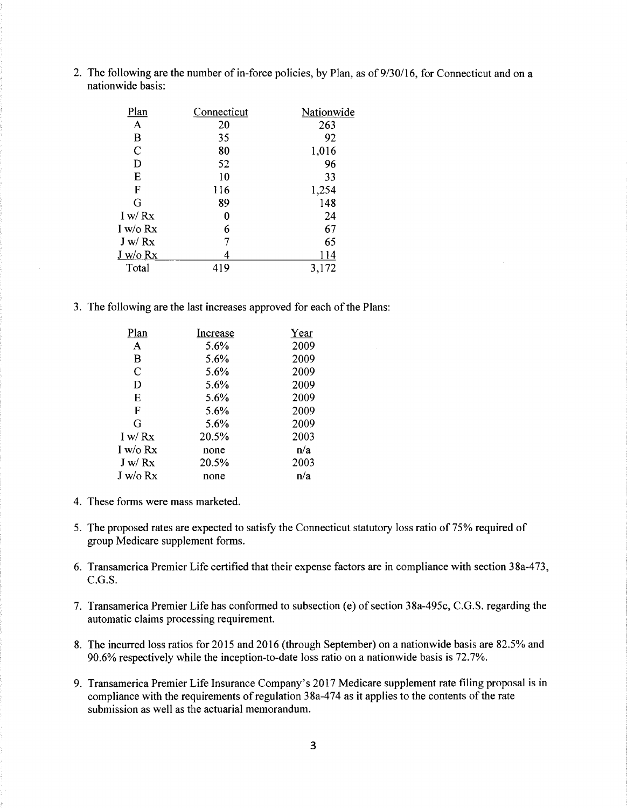2. The following are the number of in-force policies, by Plan, as of 9/30/16, for Connecticut and on a nationwide basis:

| Plan         | Connecticut | Nationwide |
|--------------|-------------|------------|
| $\mathbf{A}$ | 20          | 263        |
| B            | 35          | 92         |
| $\mathbf C$  | 80          | 1,016      |
| D            | 52          | 96         |
| E            | 10          | 33         |
| F            | 116         | 1,254      |
| G            | 89          | 148        |
| I w/Rx       | 0           | 24         |
| I w/o $Rx$   | 6           | 67         |
| J w/Rx       |             | 65         |
| $J_{W}/o Rx$ |             | 114        |
| Total        | 419         | 3,172      |

3. The following are the last increases approved for each of the Plans:

| Plan     | Increase | Year |
|----------|----------|------|
| A        | 5.6%     | 2009 |
| в        | 5.6%     | 2009 |
| C        | 5.6%     | 2009 |
| D        | 5.6%     | 2009 |
| E        | 5.6%     | 2009 |
| F        | 5.6%     | 2009 |
| G        | 5.6%     | 2009 |
| I w/Rx   | 20.5%    | 2003 |
| I w/o Rx | none     | n/a  |
| J w/Rx   | 20.5%    | 2003 |
| J w/o Rx | none     | n/a  |

- 4. These forms were mass marketed.
- 5. The proposed rates are expected to satisfy the Connecticut statutory loss ratio of 75% required of group Medicare supplement forms.
- 6. Transamerica Premier Life certified that their expense factors are in compliance with section 38a-473, C.G.S.
- 7. Transamerica Premier Life has conformed to subsection (e) of section 38a-495c, C.G.S. regarding the automatic claims processing requirement.
- 8. The incurred loss ratios for 2015 and 2016 (through September) on a nationwide basis are 82.5% and 90.6% respectively while the inception-to-date loss ratio on a nationwide basis is 72.7%.
- 9. Transamerica Premier Life Insurance Company's 2017 Medicare supplement rate filing proposal is in compliance with the requirements of regulation 38a-474 as it applies to the contents of the rate submission as well as the actuarial memorandum.